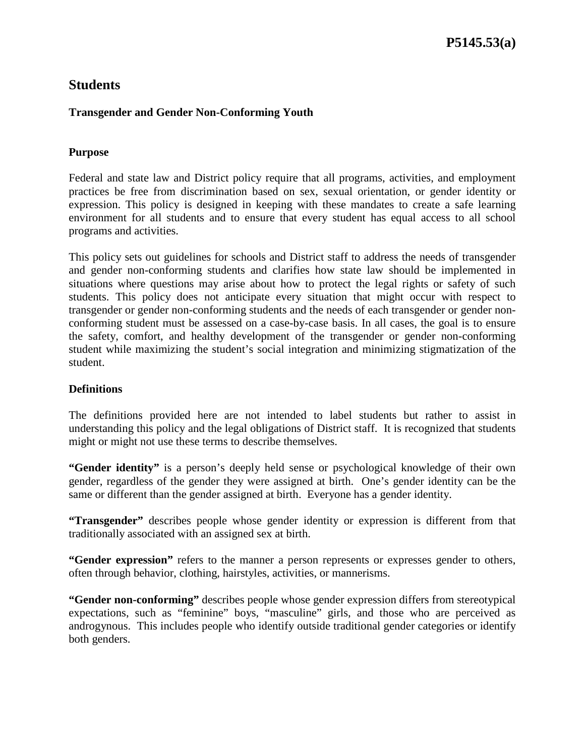# **Transgender and Gender Non-Conforming Youth**

# **Purpose**

Federal and state law and District policy require that all programs, activities, and employment practices be free from discrimination based on sex, sexual orientation, or gender identity or expression. This policy is designed in keeping with these mandates to create a safe learning environment for all students and to ensure that every student has equal access to all school programs and activities.

This policy sets out guidelines for schools and District staff to address the needs of transgender and gender non-conforming students and clarifies how state law should be implemented in situations where questions may arise about how to protect the legal rights or safety of such students. This policy does not anticipate every situation that might occur with respect to transgender or gender non-conforming students and the needs of each transgender or gender nonconforming student must be assessed on a case-by-case basis. In all cases, the goal is to ensure the safety, comfort, and healthy development of the transgender or gender non-conforming student while maximizing the student's social integration and minimizing stigmatization of the student.

### **Definitions**

The definitions provided here are not intended to label students but rather to assist in understanding this policy and the legal obligations of District staff. It is recognized that students might or might not use these terms to describe themselves.

**"Gender identity"** is a person's deeply held sense or psychological knowledge of their own gender, regardless of the gender they were assigned at birth. One's gender identity can be the same or different than the gender assigned at birth. Everyone has a gender identity.

**"Transgender"** describes people whose gender identity or expression is different from that traditionally associated with an assigned sex at birth.

**"Gender expression"** refers to the manner a person represents or expresses gender to others, often through behavior, clothing, hairstyles, activities, or mannerisms.

**"Gender non-conforming"** describes people whose gender expression differs from stereotypical expectations, such as "feminine" boys, "masculine" girls, and those who are perceived as androgynous. This includes people who identify outside traditional gender categories or identify both genders.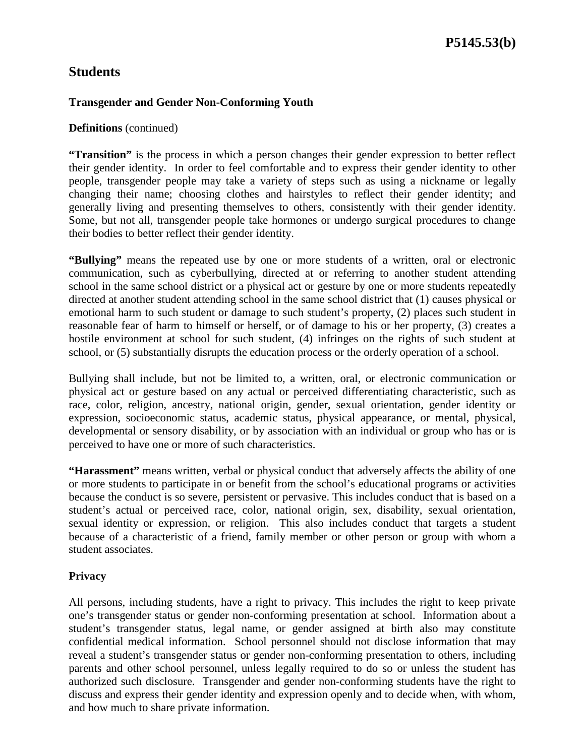### **Transgender and Gender Non-Conforming Youth**

#### **Definitions** (continued)

**"Transition"** is the process in which a person changes their gender expression to better reflect their gender identity. In order to feel comfortable and to express their gender identity to other people, transgender people may take a variety of steps such as using a nickname or legally changing their name; choosing clothes and hairstyles to reflect their gender identity; and generally living and presenting themselves to others, consistently with their gender identity. Some, but not all, transgender people take hormones or undergo surgical procedures to change their bodies to better reflect their gender identity.

**"Bullying"** means the repeated use by one or more students of a written, oral or electronic communication, such as cyberbullying, directed at or referring to another student attending school in the same school district or a physical act or gesture by one or more students repeatedly directed at another student attending school in the same school district that (1) causes physical or emotional harm to such student or damage to such student's property, (2) places such student in reasonable fear of harm to himself or herself, or of damage to his or her property, (3) creates a hostile environment at school for such student, (4) infringes on the rights of such student at school, or (5) substantially disrupts the education process or the orderly operation of a school.

Bullying shall include, but not be limited to, a written, oral, or electronic communication or physical act or gesture based on any actual or perceived differentiating characteristic, such as race, color, religion, ancestry, national origin, gender, sexual orientation, gender identity or expression, socioeconomic status, academic status, physical appearance, or mental, physical, developmental or sensory disability, or by association with an individual or group who has or is perceived to have one or more of such characteristics.

**"Harassment"** means written, verbal or physical conduct that adversely affects the ability of one or more students to participate in or benefit from the school's educational programs or activities because the conduct is so severe, persistent or pervasive. This includes conduct that is based on a student's actual or perceived race, color, national origin, sex, disability, sexual orientation, sexual identity or expression, or religion. This also includes conduct that targets a student because of a characteristic of a friend, family member or other person or group with whom a student associates.

### **Privacy**

All persons, including students, have a right to privacy. This includes the right to keep private one's transgender status or gender non-conforming presentation at school. Information about a student's transgender status, legal name, or gender assigned at birth also may constitute confidential medical information. School personnel should not disclose information that may reveal a student's transgender status or gender non-conforming presentation to others, including parents and other school personnel, unless legally required to do so or unless the student has authorized such disclosure. Transgender and gender non-conforming students have the right to discuss and express their gender identity and expression openly and to decide when, with whom, and how much to share private information.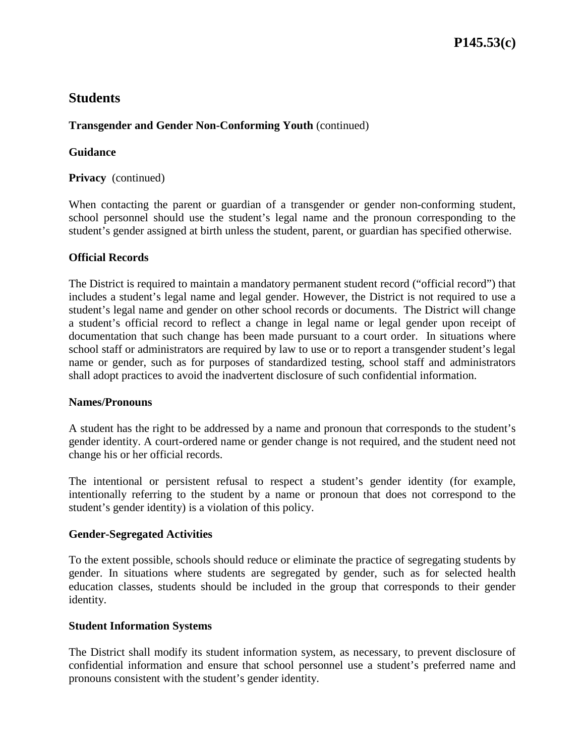# **Transgender and Gender Non-Conforming Youth** (continued)

### **Guidance**

**Privacy** (continued)

When contacting the parent or guardian of a transgender or gender non-conforming student, school personnel should use the student's legal name and the pronoun corresponding to the student's gender assigned at birth unless the student, parent, or guardian has specified otherwise.

### **Official Records**

The District is required to maintain a mandatory permanent student record ("official record") that includes a student's legal name and legal gender. However, the District is not required to use a student's legal name and gender on other school records or documents. The District will change a student's official record to reflect a change in legal name or legal gender upon receipt of documentation that such change has been made pursuant to a court order. In situations where school staff or administrators are required by law to use or to report a transgender student's legal name or gender, such as for purposes of standardized testing, school staff and administrators shall adopt practices to avoid the inadvertent disclosure of such confidential information.

### **Names/Pronouns**

A student has the right to be addressed by a name and pronoun that corresponds to the student's gender identity. A court-ordered name or gender change is not required, and the student need not change his or her official records.

The intentional or persistent refusal to respect a student's gender identity (for example, intentionally referring to the student by a name or pronoun that does not correspond to the student's gender identity) is a violation of this policy.

### **Gender-Segregated Activities**

To the extent possible, schools should reduce or eliminate the practice of segregating students by gender. In situations where students are segregated by gender, such as for selected health education classes, students should be included in the group that corresponds to their gender identity.

### **Student Information Systems**

The District shall modify its student information system, as necessary, to prevent disclosure of confidential information and ensure that school personnel use a student's preferred name and pronouns consistent with the student's gender identity.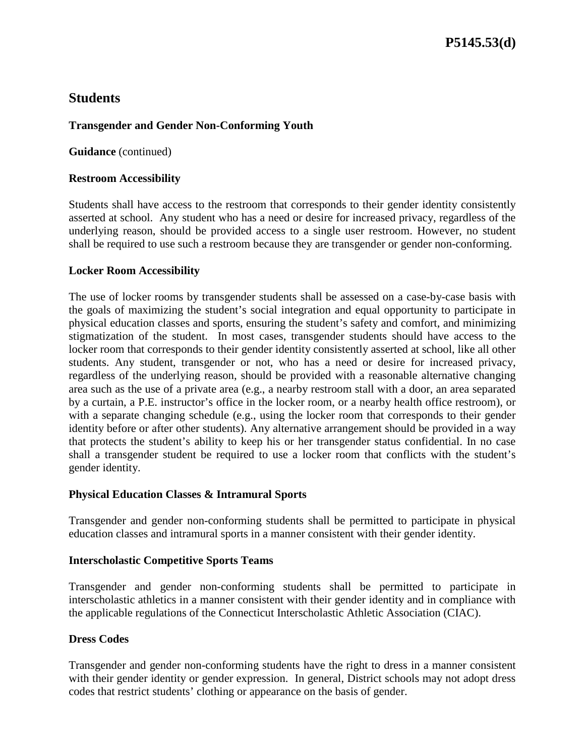# **Transgender and Gender Non-Conforming Youth**

**Guidance** (continued)

### **Restroom Accessibility**

Students shall have access to the restroom that corresponds to their gender identity consistently asserted at school. Any student who has a need or desire for increased privacy, regardless of the underlying reason, should be provided access to a single user restroom. However, no student shall be required to use such a restroom because they are transgender or gender non-conforming.

### **Locker Room Accessibility**

The use of locker rooms by transgender students shall be assessed on a case-by-case basis with the goals of maximizing the student's social integration and equal opportunity to participate in physical education classes and sports, ensuring the student's safety and comfort, and minimizing stigmatization of the student. In most cases, transgender students should have access to the locker room that corresponds to their gender identity consistently asserted at school, like all other students. Any student, transgender or not, who has a need or desire for increased privacy, regardless of the underlying reason, should be provided with a reasonable alternative changing area such as the use of a private area (e.g., a nearby restroom stall with a door, an area separated by a curtain, a P.E. instructor's office in the locker room, or a nearby health office restroom), or with a separate changing schedule (e.g., using the locker room that corresponds to their gender identity before or after other students). Any alternative arrangement should be provided in a way that protects the student's ability to keep his or her transgender status confidential. In no case shall a transgender student be required to use a locker room that conflicts with the student's gender identity.

### **Physical Education Classes & Intramural Sports**

Transgender and gender non-conforming students shall be permitted to participate in physical education classes and intramural sports in a manner consistent with their gender identity.

### **Interscholastic Competitive Sports Teams**

Transgender and gender non-conforming students shall be permitted to participate in interscholastic athletics in a manner consistent with their gender identity and in compliance with the applicable regulations of the Connecticut Interscholastic Athletic Association (CIAC).

### **Dress Codes**

Transgender and gender non-conforming students have the right to dress in a manner consistent with their gender identity or gender expression. In general, District schools may not adopt dress codes that restrict students' clothing or appearance on the basis of gender.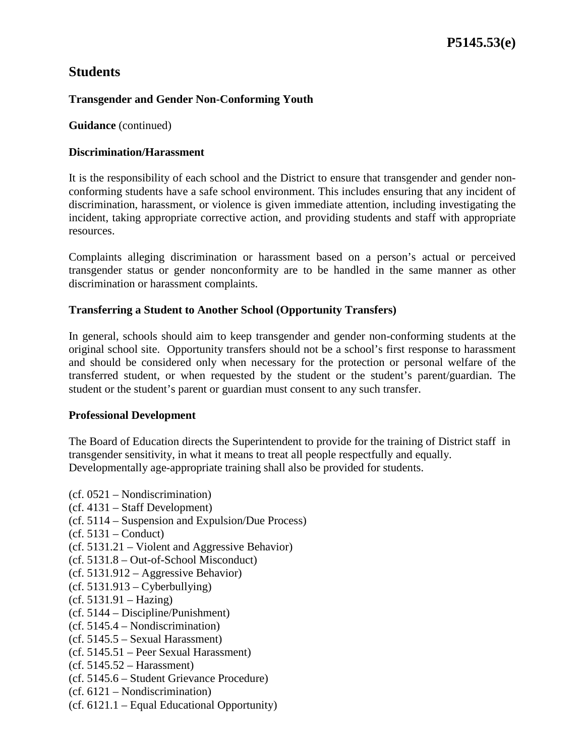### **Transgender and Gender Non-Conforming Youth**

**Guidance** (continued)

### **Discrimination/Harassment**

It is the responsibility of each school and the District to ensure that transgender and gender nonconforming students have a safe school environment. This includes ensuring that any incident of discrimination, harassment, or violence is given immediate attention, including investigating the incident, taking appropriate corrective action, and providing students and staff with appropriate resources.

Complaints alleging discrimination or harassment based on a person's actual or perceived transgender status or gender nonconformity are to be handled in the same manner as other discrimination or harassment complaints.

### **Transferring a Student to Another School (Opportunity Transfers)**

In general, schools should aim to keep transgender and gender non-conforming students at the original school site. Opportunity transfers should not be a school's first response to harassment and should be considered only when necessary for the protection or personal welfare of the transferred student, or when requested by the student or the student's parent/guardian. The student or the student's parent or guardian must consent to any such transfer.

### **Professional Development**

The Board of Education directs the Superintendent to provide for the training of District staff in transgender sensitivity, in what it means to treat all people respectfully and equally. Developmentally age-appropriate training shall also be provided for students.

- (cf. 0521 Nondiscrimination)
- (cf. 4131 Staff Development)
- (cf. 5114 Suspension and Expulsion/Due Process)
- (cf. 5131 Conduct)
- (cf. 5131.21 Violent and Aggressive Behavior)
- (cf. 5131.8 Out-of-School Misconduct)
- (cf. 5131.912 Aggressive Behavior)
- $(cf. 5131.913 Cyberbullying)$
- (cf. 5131.91 Hazing)
- (cf. 5144 Discipline/Punishment)
- (cf. 5145.4 Nondiscrimination)
- (cf. 5145.5 Sexual Harassment)
- (cf. 5145.51 Peer Sexual Harassment)
- $(cf. 5145.52 Harassment)$
- (cf. 5145.6 Student Grievance Procedure)
- (cf. 6121 Nondiscrimination)
- (cf. 6121.1 Equal Educational Opportunity)